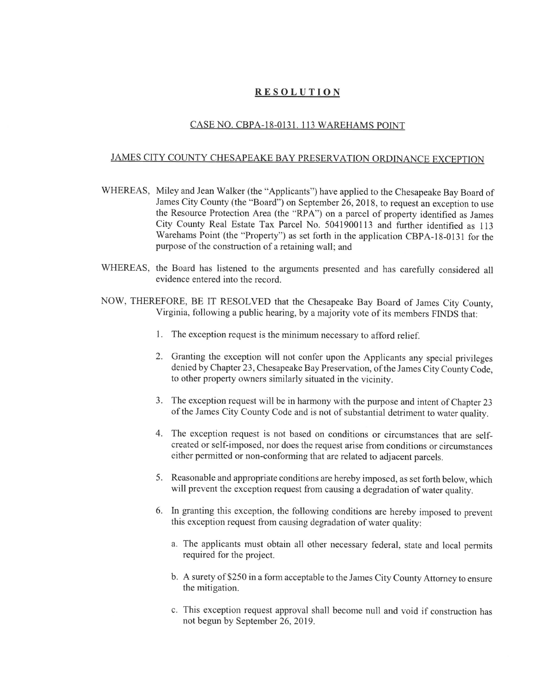## RESOLUTION

## CASE NO. CBPA-18-0131. 113 WARERAMS POINT

## JAMES CITY COUNTY CHESAPEAKE BAY PRESERVATION ORDINANCE EXCEPTION

- WHEREAS, Miley and Jean Walker (the "Applicants") have applied to the Chesapeake Bay Board of James City County (the "Board") on September 26, 2018, to request an exception to use the Resource Protection Area (the "RPA") on a parcel of property identified as James City County Real Estate Tax Parcel No. 5041900113 and further identified as 113 Warehams Point (the "Property") as set forth in the application CBPA-18-0131 for the purpose of the construction of a retaining wall; and
- WHEREAS, the Board has listened to the arguments presented and has carefully considered all evidence entered into the record.
- NOW, THEREFORE, BE IT RESOLVED that the Chesapeake Bay Board of James City County, Virginia, following a public hearing, by a majority vote of its members FINDS that:
	- 1. The exception request is the minimum necessary to afford relief.
	- 2. Granting the exception will not confer upon the Applicants any special privileges denied by Chapter 23, Chesapeake Bay Preservation, of the James City County Code, to other property owners similarly situated in the vicinity.
	- 3. The exception request will be in harmony with the purpose and intent of Chapter 23 of the James City County Code and is not of substantial detriment to water quality.
	- 4. The exception request is not based on conditions or circumstances that are selfcreated or self-imposed, nor does the request arise from conditions or circumstances either permitted or non-conforming that are related to adjacent parcels.
	- 5. Reasonable and appropriate conditions are hereby imposed, as set forth below, which will prevent the exception request from causing a degradation of water quality.
	- 6. In granting this exception, the following conditions are hereby imposed to prevent this exception request from causing degradation of water quality:
		- a. The applicants must obtain all other necessary federal, state and local permits required for the project.
		- b. A surety of \$250 in a form acceptable to the James City County Attorney to ensure the mitigation.
		- c. This exception request approval shall become null and void if construction has not begun by September 26, 2019.